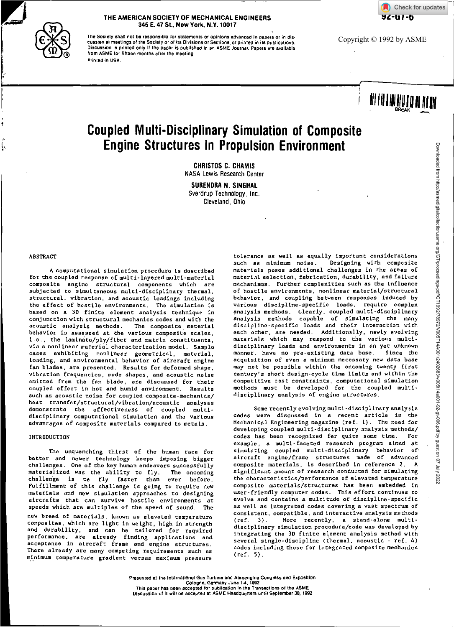



#### **THE AMERICAN SOCIETY OF MECHANICAL ENGINEERS 345 E. 47 St., New York, N.Y. 10017**

The Society shall not be responsible for statements or opinions advanced in papers or in discussion at meetings of the Society or oils Divisions or Sections, or printed in its publications. Discussion is printed only if the pepar is published in an ASME Journal. Papers ere availabla from ASME tot fifteen months after the meeting. Printed in USA.

Copyright © 1992 by ASME

# **i El III II 11111**

# **Coupled Multi-Disciplinary Simulation of Composite Engine Structures in Propulsion Environment**

**CHRISTOS C. CHAMIS**  NASA Lewis Research Center

**SURENDRA N. SINGHAL**  Sverdrup Technology, Inc. Cleveland, Ohio

#### ABSTRACT

A computational simulation procedure is described for the coupled response of multi-layered multi-material composite engine structural components which are subjected to simultaneous multi-disciplinary thermal, structural, vibration, and acoustic loadings including the effect of hostile environments. The simulation is based on a 3D finite element analysis technique in conjunction with structural mechanics codes and with the acoustic analysis methods. The composite material behavior is assessed at the various composite scales, i.e., the laminate/ply/fiber and matrix constituents, via a nonlinear material characterization model. Sample cases exhibiting nonlinear geometrical, material, loading, and environmental behavior of aircraft engine fan blades, are presented. Results for deformed shape, vibration frequencies, mode shapes, and acoustic noise emitted from the fan blade, are discussed for their coupled effect in hot and humid environment. Results such as acoustic noise for coupled composite-mechanics/ heat transfer/structural/vibration/acoustic analyses demonstrate the effectiveness of coupled multidisciplinary computational simulation and the various advantages of composite materials compared to metals.

INTRODUCTION

The unquenching thirst of the human race for better and newer technology keeps imposing bigger challenges. One of the key human endeavors successfully materialized was the ability to fly. The oncoming challenge is to fly faster than ever before. Fulfillment of this challenge is going to require new materials and new simulation approaches to designing aircrafts that can survive hostile environments at speeds which are multiples of the speed of sound. The new breed of materials, known as elevated temperature composites, which are light in weight, high in strength and durability, and can be tailored for required performance, are already finding applications and acceptance in aircraft frame and engine structures. There already are many competing requirements such as minimum temperature gradient versus maximum pressure

tolerance as well as equally important considerations such as minimum noise. Designing with composite materials poses additional challenges in the areas of material selection, fabrication, durability, and failure mechanisms. Further complexities such as the influence of hostile environments, nonlinear material/structural behavior, and coupling between responses induced by various discipline-specific loads, require complex analysis methods. Clearly, coupled multi-disciplinary analysis methods capable of simulating the many discipline-specific loads and their interaction with each other, are needed. Additionally, newly evolving materials which may respond to the various multidisciplinary loads and environments in an yet unknown<br>manner, have no pre-existing data base. Since the manner, have no pre-existing data base. acquisition of even a minimum necessary new data base may not be possible within the oncoming twenty first century's short design-cycle time limits and within the competitive cost constraints, computational simulation methods must be developed for the coupled multidisciplinary analysis of engine structures.

Some recently evolving multi-disciplinary analysis codes were discussed in a recent article in the Mechanical Engineering magazine (ref. 1). The need for developing coupled multi-disciplinary analysis methods/ codes has been recognized for quite some time. For example, a multi-faceted research program aimed at simulating coupled multi-disciplinary behavior of' aircraft engine/frame structures made of advanced composite materials, is described in reference 2. A significant amount of research conducted for simulating the characteristics/performance of elevated temperature composite materials/structures has been embedded in user-friendly computer codes. This effort continues to evolve and contains a multitude of discipline-specific as well as integrated codes covering a vast spectrum of consistent, compatible, and interactive analysis methods<br>(ref. 3). More recently, a stand-alone multi-More recently, a stand-alone multidisciplinary simulation procedure/code was developed by integrating the 3D finite element analysis method with several single-discipline (thermal, acoustic - ref. 4) codes including those for integrated composite mechanics (ref. 5).

Presented at the International Gas Turbine and Aeroenglne Congress and Exposition Cologne, Germany June 1-4, 1992<br>This paper has been accepted for publication In the Transactions of the ASME<br>Discussion of It will be accepted at ASME Haadquarters until September 30, 1992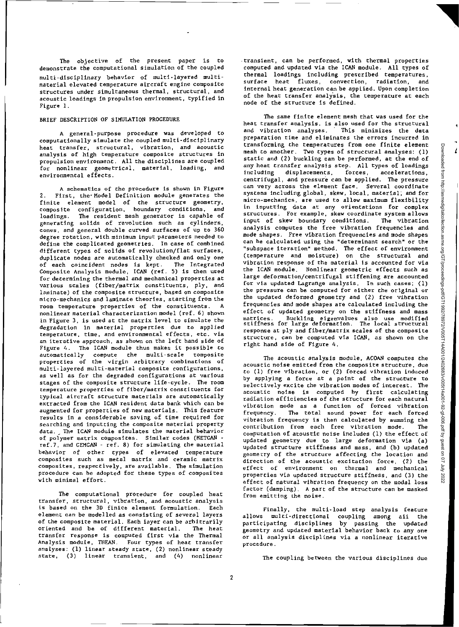The objective of the present paper is to demonstrate the computational simulation of the coupled multi-disciplinary behavior of multi-layered multimaterial elevated temperature aircraft engine composite structures under simultaneous thermal, structural, and acoustic loadings in propulsion environment, typified in Figure 1.

#### BRIEF DESCRIPTION OF SIMULATION PROCEDURE

A general-purpose procedure was developed to computationally simulate the coupled multi-disciplinary heat transfer, structural, vibration, and acoustic analysis of high temperature composite structures in propulsion environment. All the disciplines are coupled for nonlinear geometrical, material, loading, and environmental effects.

A schematics of the procedure is shown in Figure 2. First, the-Model Definition module generates the finite element model of the structure geometry, composite configuration, boundary conditions, and loadings. The resident mesh generator is capable of generating solids of revolution such as cylinders, cones, and general double curved surfaces of up to 360 degree rotation, with minimum input parameters needed to define the complicated geometries. In case of combined different types of solids of revolution/flat surfaces, duplicate nodes are automatically checked and only one of each coincident nodes is kept. The Integrated Composite Analysis module, ICAN (ref. 5) is then used for determining the thermal and mechanical properties at various scales (fiber/matrix constituents, ply, and laminate) of the composite structure, based on composite micro-mechanics and laminate theories, starting from the room temperature properties of the constituents. A nonlinear material characterization model (ref. 6) shown in Figure 3, is used at the matrix level to simulate the degradation in material properties due to applied temperature, time, and environmental effects, etc. via an iterative approach, as shown on the left hand side of Figure 4. The ICAN module thus makes it possible to automatically compute the multi-scale composite properties of the virgin arbitrary combinations of multi-layered multi-material composite configurations, as well as for the degraded configurations at various stages of the composite structure life-cycle. The room temperature properties of fiber/matrix constituents for typical aircraft structure materials are automatically extracted from the ICAN resident data bank which can be augmented for properties of new materials. This feature results in a considerable saving of time required for searching and inputting the composite material property data. The ICAN module simulates the material behavior of polymer matrix composites. Similar codes (METCAN ref.7, and GEMCAN - ref. 8) for simulating the material behavior of other types of elevated temperature composites such as metal matrix and ceramic matrix composites, respectively, are available. The simulation procedure can be adopted for these types of composites with minimal effort.

The computational procedure for coupled heat transfer, structural, vibration, and acoustic analysis is based on the 3D finite element formulation. Each element can be modelled as consisting of several layers of the composite material. Each layer can be arbitrarily oriented and be of different material. The heat transfer response is computed first via the Thermal Analysis module, THEM. Four types of heat transfer analyses: (1) linear steady state, (2) nonlinear steady state, (3) linear transient, and (4) nonlinear

transient, can be performed, with thermal properties computed and updated via the ICAN module. All types of thermal loadings including prescribed temperatures, surface heat fluxes, convection, radiation, and internal heat generation can be applied. Upon completion of the heat transfer analysis, the temperature at each node of the structure is defined.

The same finite element mesh that was used for the heat transfer analysis, is also used for the structural<br>and vibration analyses. This minimizes the data and vibration analyses. preparation time and eliminates the errors incurred in transforming the temperatures from one finite element mesh to another. Two types of structural analyses: (1) static and (2) buckling can be performed, at the end of any heat transfer analysis step. All types of loadings displacements, forces, accelerations, centrifugal, and pressure can be applied. The pressure can very across the element face. Several coordinate systems including global, skew, local, material, and for micro-mechanics, are used to allow maximum flexibility in inputting data at any orientations for complex structures. For example, skew coordinate system allows input of skew boundary conditions. The vibration analysis computes the free vibration frequencies and mode shapes. Free vibration frequencies and mode shapes can be calculated using the "determinant search" or the "subspace iteration" method. The effect of environment (temperature and moisture) on the structural and vibration response of the material is accounted for via the ICAN module. Nonlinear geometric effects such as large deformation/centrifugal stiffening are accounted for via updated Lagrange analysis. In such cases; (1) the pressure can be computed for either the original or the updated deformed geometry and (2) free vibration frequencies and mode shapes are calculated including the effect of updated geometry on the stiffness and mass matrices. Buckling eigenvalues also use modified stiffness for large deformation. The local structural response at ply and fiber/matrix scales of the composite structure, can be computed via ICAN, as shown on the right hand side of Figure 4.

The acoustic analysis module, ACOAN computes the acoustic noise emitted from the composite structure, due to (1) free vibration, or (2) forced vibration induced by applying a force at a point of the structure to selectively excite the vibration modes of interest. The acoustic noise is computed by first calculating radiation efficiencies of the structure for each natural vibration mode as a function of forced vibration frequency. The total sound power for each forced vibration frequency is then calculated by summing the contribution from each free vibration mode. The computation of acoustic noise includes (1) the effect of updated geometry due to large deformation via (a) updated structure stiffness and mass, and (b) updated geometry of the structure affecting the location and direction of the acoustic excitation force, (2) the effect of environment on thermal and mechanical properties via updated structure stiffness, and (3) the effect of natural vibration frequency on the modal loss factor (damping). A part of the structure can be masked from emitting the noise.

Finally, the multi-load step analysis feature allows multi-directional coupling among all the participating disciplines by passing the updated geometry and updated material behavior back to any one or all analysis disciplines via a nonlinear iterative procedure.

The coupling between the various disciplines due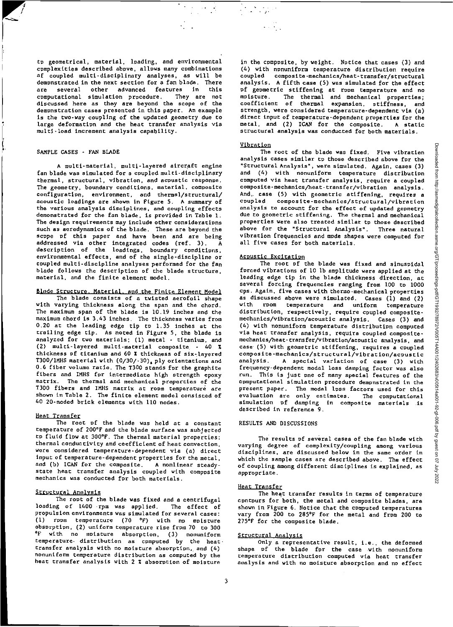to geometrical, material, loading, and environmental complexities described above, allows many combinations af coupled multi-disciplinary analyses, as will be demonstrated in the next section for a fan blade. There are several other advanced features in this computational simulation procedure. They are not discussed here as they are beyond the scope of the demonstration cases presented in this paper. An example is the two-way coupling of the updated geometry due to large deformation and the heat transfer analysis via multi-load increment analysis capability.

#### SAMPLE CASES - FAN BLADE

A multi-material, multi-layered aircraft engine fan blade was simulated for a coupled multi-disciplinary thermal, structural, vibration, and acoustic response. The geometry, boundary conditions, material, composite configuration, environment, and thermal/structural/ acoustic loadings are shown in Figure 5. A summary of the various analysis disciplines, and coupling effects demonstrated for the fan blade, is provided in Table I. The design requirements may include other considerations such as aerodynamics of the blade. These are beyond the scope of this paper and have been and are being addressed via other integrated codes (ref. 3). A description of the loadings, boundary conditions, environmental effects, and of the single-discipline or coupled multi-discipline analyses performed for the fan blade follows the description of the blade structure, material, and the finite element model.

#### Blade Structure. Material, and the Finite Element Model

The blade consists of a twisted aerofoil shape with varying thickness along the span and the chord. The maximum span of the blade is 10.19 inches and the maximum chord is 3.43 inches. The thickness varies from 0.20 at the leading edge tip to 1.35 inches at the trailing edge tip. As noted in Figure 5, the blade is analyzed for two materials; (1) metal - titanium, and (2) multi-layered multi-material composite - 40 % thickness of titanium and 60 I thickness of six-layered T300/IMHS material with (0/30/-30), ply orientations and 0.6 fiber volume ratio. The T300 stands for the graphite fibers and IMHS for intermediate high strength epoxy matrix. The thermal and mechanical properties of the T300 fibers and IMHS matrix at room temperature are shown in Table 2. The finite element model consisted of 40 20-noded brick elements with 110 nodes.

#### Heat Transfer

The root of the blade was held at a constant temperature of 200°F and the blade surface was subjected to fluid flow at 300°F. The thermal material properties; thermal conductivity and coefficient of heat convection, were considered temperature-dependent via (a) direct input of temperature-dependent properties for the metal, and (b) ICAN for the composite. A nonlinear steadystate heat transfer analysis coupled with composite mechanics was conducted for both materials.

#### Structural Analysis

The ropt of the blade was fixed and a centrifugal<br>Ig of 1400 rpm was applied. The effect of loading of 1400 rpm was applied. propulsion environments was simulated for several cases: (1) room temperature (70 °F) with no moisture absorption, (2) uniform temperature rise from 70 to 300 <sup>o</sup>F with no mpisture absorption, (3) nonuniform temperature. distribution as computed by the heattransfer analysis with no moisture absorption, and (4) nonuniform temperature distribution as computed by the heat transfer analysis with 2 % absorption of moisture

in the composite, by weight. Notice that cases (3) and (4) with nonuniform temperature distribution require coupled composite-mechanics/heat-transfer/structural analysis. A fifth case (5) was simulated for the effect of geometric stiffening at room temperature and no moisture. The thermal and mechanical properties; coefficient of thermal expansion, stiffness, and strength, were considered temperature-dependent via (a) direct input of temperature-dependent properties for the metal, and (2) ICAN for the composite. A static structural analysis was conducted for both materials.

#### Vibration

 $\mathcal{F}^{\mathcal{G}}_{\mathcal{A}}$ 

The root of the blade was fixed. Five vibration analysis cases similar to those described above for the "Structural Analysis", were simulated. Again, cases (3) and (4) with nonuniform temperature distribution computed via heat transfer analysis, require a coupled composite-mechanics/heat-transfer/vibration analysis. And, case (5) with geometric stiffening, requires a coupled composite-mechanics/structural/vibration analysis to account for the effect of updated geometry due to geometric stiffening. The thermal and mechanical properties were also treated similar to those described above for the "Structural Analysis". Three natural vibration frequencies and mode shapes were computed for all five cases for both materials.

#### Acoustic Excitation

The root of the blade was fixed and sinusoidal forced vibrations of 10 lb amplitude were applied at the leading edge tip in the blade thickness direction, at several forcing frequencies ranging from 100 to 1000 cps. Again, five cases with thermo-mechanical properties as discussed above were simulated. Cases (1) and (2) with room temperature and uniform temperature distribution, respectively, require coupled compositemechanics/vibration/acoustic analysis. Cases (3) and (4) with nonuniform temperature distribution computed via heat transfer analysis, require coupled compositemechanics/heat-transfer/vibration/acoustic analysis, and case (5) with geometric stiffening, requires a coupled composite-mechanics/structural/vibration/acoustic analysis. A special variation of case (3) with frequency-dependent modal loss damping factor was also run. This is just one of many special features of the computational simulation procedure demonstrated in the present paper. The modal lpss factors used for this evaluation are only estimates. The computational simulation of damping in composite materials is described in reference 9.

#### RESULTS AND DISCUSSIONS

The results of several cases of the fan blade with varying degree of complexity/coupling among various disciplines, are discussed below in the same order in which the sample cases are described above. The effect of coupling among different disciplines is explained, as appropriate.

#### Heat Transfer

The heat transfer results in terms of temperature contours for both, the metal and composite blades, are shown in Figure 6. Notice that the computed temperatures vary from 200 to 285°F for the metal and from 200 to 275°F for the composite blade.

#### Structural Analysis

Only a representative result, i.e., the deformed shape of the blade for the case with nonuniform temperature distribution computed via heat transfer analysis and with no moisture absorption and no effect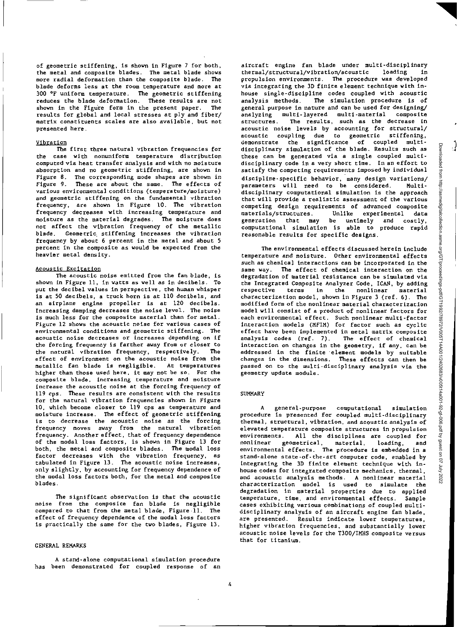of geometric stiffening, is shown in Figure 7 for both, the metal and composite blades. The metal blade shows more radial deformation than the composite blade. The blade deforms less at the room temperature and more at 300 °F uniform temperature. The geometric stiffening reduces the blade deformation. These results are not shown in the Figure form in the present paper. The shown in the Figure form in the present paper. results for global and local stresses at ply and fiber/ matrix constituents scales are also available, but not presented here.

#### Vibration

The first three natural vibration frequencies for the case with nonuniform temperature distribution computed via heat transfer analysis and with no moisture absorption and no geometric stiffening, are shown in Figure 8. The corresponding mode shapes are shown in Figure 9. These are about the same. The effects of various environmental conditions (temperature/moisture) and geometric stiffening on the fundamental vibration frequency, are shown in Figure 10. The vibration frequency decreases with increasing temperature and moisture as the material degrades. The moisture does not affect the vibration frequency of the metallic blade. Geometric stiffening increases the vibration frequency by about 6 percent in the metal and about 5 percent in the composite as would be expected from the heavier metal density.

#### Acoustic Excitation

The acoustic noise emitted from the fan blade, is shown in Figure 11, in watts as well as in decibels. To put the decibel values in perspective, the human whisper is at 50 decibels, a truck horn is at 110 decibels, and an airplane engine propeller is at 120 decibels. Increasing damping decreases the noise level. The noise is much less for the composite material than for metal. Figure 12 shows the acoustic noise for various cases of environmental conditions and geometric stiffening. The acoustic noise decreases or increases depending on if the forcing frequency is farther away from or closer to the natural vibration frequency, respectively. The effect of environment on the acoustic noise from the metallic fan blade is negligible. At temperatures higher than those used here, it may not be so. For the composite blade, increasing temperature and moisture increase the acoustic noise at the forcing frequency of 119 cps. These results are consistent with the results for the natural vibration frequencies shown in Figure 10, which become closer to 119 cps as temperature and moisture increase. The effect of geometric stiffening is to decrease the acoustic noise as the forcing frequency moves away from the natural vibration frequency. Another effect, that of frequency dependence of the modal loss factors, is shown in Figure 13 for both, the metal and composite blades. The modal loss factor decreases with the vibration frequency, as tabulated in Figure 13. The acoustic noise increases, only slightly, by accounting for frequency dependence of the modal loss factors both, for the metal and composite blades.

The significant observation is chat the acoustic noise from the composite fan blade is negligible compared to that from the metal blade, Figure 11. The effect of frequency dependence of the modal loss factors is practically the same for the two blades, Figure 13.

#### GENERAL REMARKS

A stand-alone computational simulation procedure has been demonstrated for coupled response of an aircraft engine fan blade under multi-disciplinary thermal/structural/vibration/acoustic loading in propulsion environments. The procedure was developed via integrating the 3D finite element technique with inhouse single-discipline codes coupled with acoustic analysis methods. The simulation procedure is of general purpose in nature and can be used for designing/ analyzing multi-layered multi-material composite structures. The results, such as the decrease in acoustic noise levels by accounting for structural/ acoustic coupling due to geometric stiffening, demonstrate the significance of coupled multidisciplinary simulation of the blade. Results such as these can be generated via a single coupled multidisciplinary code in a very short time. In an effort to satisfy the competing requirements imposed by individual discipline-specific behavior, many design variations/ parameters will need to be considered. Multidisciplinary computational simulation is the approach that will provide a realistic assessment of the various competing design requirements of advanced composite Unlike experimental data generation that may be untimely and costly, computational simulation is able to produce rapid reasonable results for specific designs.

The environmental effects discussed herein include temperature and moisture. Other environmental effects such as chemical interactions can be incorporated in the same way. The effect of chemical interaction on the degradation of material resistance can be simulated via the Integrated Composite Analyzer Code, ICAN, by adding respective terms in the nonlinear material characterization model, shown in Figure 3 (ref. 6), The modified form of the nonlinear material characterization model will consist of a product of nonlinear factors for each environmental effect. Such nonlinear multi-factor interaction models (MFIM) for factor such as cyclic effect have been implemented in metal matrix composite analysis codes (ref. 7). The effect of chemical interaction on changes in the geometry, if any, can be addressed in the finite element models by suitable changes in the dimensions. These effects can then be passed on to the multi-disciplinary analysis via the geometry update module.

#### SUMMARY

A general-purpose computational simulation procedure is presented for coupled multi-disciplinary thermal, structural, vibration, and acoustic analysis of elevated temperature composite structures in propulsion environments. All the disciplines are coupled for nonlinear geometrical, material, loading, and environmental effects. The procedure is embedded in a stand-alone state-of-the-art computer code, enabled by integrating the 3D finite element technique with inhouse codes for integrated composite mechanics, thermal, and acoustic analysis methods. A nonlinear material characterization model is used to simulate the degradation in material properties due to applied temperature, time, and environmental effects. Sample cases exhibiting various combinations of coupled multidisciplinary analysis of an aircraft engine fan blade, are presented. Results indicate lower temperatures, higher vibration frequencies, and substantially lower acoustic noise levels for the T300/IMHS composite versus that for titanium.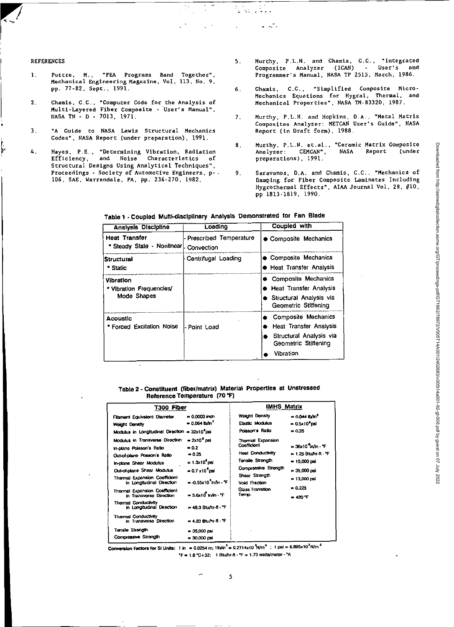#### REFERENCES

þ

- 1. Puttre, M., "FEA Programs Band Together", Mechanical Engineering Magazine, Vol, 113, No. 9, pp. 77-82. Sept., 1991,
- 2. Chamis, C.C., "Computer Code for the Analysis of Multi-Layered Fiber Composite - user's Manual". NASA TN - D - 7013, 1971.
- 3. "A Guide to NASA Levis Structural Mechanics Codes", NASA Report (under preparation), 1991.
- 4. Hayes, FE., "Determining Vibration, Radiation Efficiency, and Noise Characteristics of Efficiency, and Noise Characteristics of<br>Structural Designs Using Analytical Techniques", Proceedings - Society of Automotive Engineers, p- - 106, SAE, Warrendale, PA, pp. 236-270, 1982.
- 5. Murthy, P.L.N. and Chamis, C.C., "Integrated Composite Analyzer (ICAN) - User's and Programmer's Manual, NASA TP 2515, March, 1986.
- 6. Chamis, C.C., "Simplified Composite Micro-Mechanics Equations for Hygral. Thermal, and Mechanical Properties", NASA TM-83320, 1987.
- 7. Murthy, P.L.N. and Hopkins, D.A., "Metal Matrix Composites Analyzer: METCAN User's Guide", NASA Report (in Draft form), 1988.
- 8. Murthy, P.L.N. et.al., "Ceramic Matrix Composite<br>Analyzer: CEMCAN", NASA Report (under Analyzer: CEMCAN", NASA preparations), 1991.
- 9. Saravanos, D.A. and Chamis, C.C., "Mechanics of Damping for Fiber Composite Laminates Including Hygrothermal Effects", AIAA Journal Vol, 28, #10, pp 1813-1819, 1990.

| Analysis Discipline                                  | Loading                                | Coupled with                                                                                                         |  |
|------------------------------------------------------|----------------------------------------|----------------------------------------------------------------------------------------------------------------------|--|
| <b>Heat Transfer</b><br>* Steady State - Nonlinear   | - Prescribed Temperature<br>Convection | • Composite Mechanics                                                                                                |  |
| Structural<br>* Static                               | Centrifugal Loading                    | <b>Composite Mechanics</b><br>● Heat Transfer Analysis                                                               |  |
| Vibration<br>* Vibration Frequencies/<br>Mode Shapes |                                        | Composite Mechanics<br><b>Heat Transfer Analysis</b><br>● Structural Analysis via<br>Geometric Stiffening            |  |
| Acoustic<br><b>Forced Excitation Noise</b>           | l-Point Load                           | Composite Mechanics<br><b>Heat Transfer Analysis</b><br>Structural Analysis via<br>Geometric Stiffening<br>Vibration |  |

**Table 1 - Coupled Mum-disciplinary Analysis Demonstrated for Fan Blade** 

 $\mathcal{Q}^{\text{max}}_{\text{max}}$ 

الرائيس المر

ì.

#### **Table 2 - Constituent (fiber/matrix) Material Properties at Unstressed Reference Temperature (70 °F)**

| T300 Fiber                                                                                                                                                                                                                                                                                                                                                                                                                                    |                                                                                                                                                                                                                                             | <b>IMHS Matrix</b>                                                                                                                                                              |                                                                                                                               |  |
|-----------------------------------------------------------------------------------------------------------------------------------------------------------------------------------------------------------------------------------------------------------------------------------------------------------------------------------------------------------------------------------------------------------------------------------------------|---------------------------------------------------------------------------------------------------------------------------------------------------------------------------------------------------------------------------------------------|---------------------------------------------------------------------------------------------------------------------------------------------------------------------------------|-------------------------------------------------------------------------------------------------------------------------------|--|
| Filament Equivalent Diameter<br>Woight Donalty<br>Modulus in Longitudinal Direction = 32x10 psi                                                                                                                                                                                                                                                                                                                                               | $= 0.0000$ inch<br>$= 0.064$ th/m <sup>3</sup>                                                                                                                                                                                              | Weight Donsity<br>Elastic Modulus<br>Poisson a Ratio                                                                                                                            | $= 0.044$ b/m <sup>3</sup><br>$= 0.5x10^{3}$ psi<br>$= 0.35$                                                                  |  |
| Modulus in Transverse Direction<br>in-plano Poisson's Ratio<br>Out-of-plane Posson's Ratio<br>In-plane Shear Modulus<br>Out-of-plane Shear Modulus<br><b>Thermal Expansion Coefficient</b><br>in Longitudinal Direction<br>Thormal Expansion Coefficient<br>in Transvorso Direction<br><b>Thermal Conductivity</b><br>in Longitudinal Direction<br>Thermal Conductivity<br>in Transverse Direction<br>Tensie Strongth<br>Compressive Strength | $= 2x10o$ psi<br>$= 0.2$<br>$= 0.25$<br>$= 1.3x10^{9}$ psi<br>$= 0.7 \times 10^{5}$ cel<br>$= 0.55x10^{4}$ in/in $\cdot$ 'F<br>$= 5.6x10^7$ in An $-$ F<br>= 48.3 Blu/hr-ft - "F<br>= 4.83 Blu/hr-ft - "F<br>$= 35,000$ psi<br>= 30.000 pel | <b>Thermal Expansion</b><br>Coafficion1<br><b>Heat Conductivity</b><br>Tensile Strongth<br>Compressive Strength<br>Shear Strength<br>Void Fraction<br>Glass Transition<br>Temp. | a 16:10 m/n - "F<br><b>► 1.25 Blu/hi-fi *F</b><br>$= 15,000$ psi<br>$= 35,000$ psi<br>= 13,000 psi<br>$= 0.225$<br>$= 420$ °F |  |

Conversion Factors for St Units: 1 in = 0.0254 m; 1lb/in<sup>3</sup> = 0.2714x10  $^{7}$ N/m<sup>3</sup> ; 1 psi = 6.895x10<sup>3</sup>N/m<sup>2</sup>

 $*F = 1.8$   $*C + 32$ ; 1 Blu/hr-ft  $*F = 1.73$  watts/meter  $*K$ 

5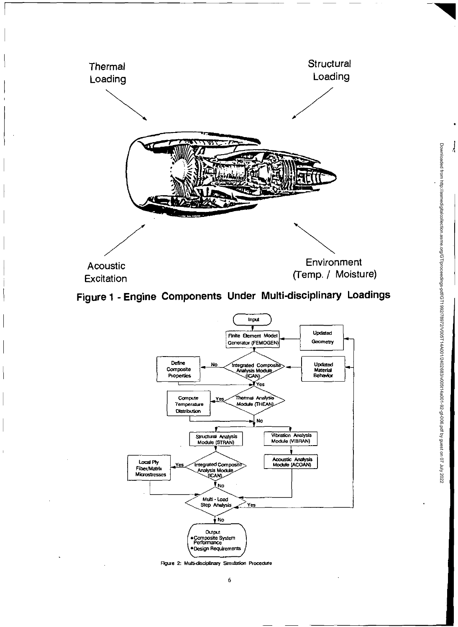





Figure 2: Multi-disciplinary Simulation Procedure

 $\frac{1}{2}$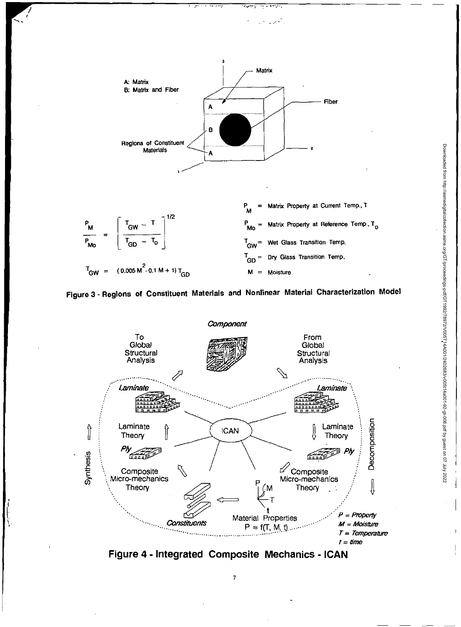





**Figure 4- Integrated Composite Mechanics - ICAN** 

7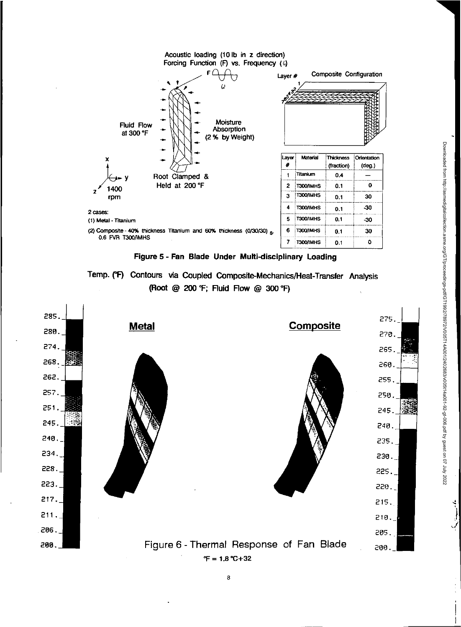

**Figure 5- Fan Blade Under Multi-disciplinary Loading** 





Downloaded from http://asmedigitalcollection.asme.org/GT/proceedings-pdf/971972/V020114400012440004024006.pdf by grest on 07 July 2022 Downloaded from http://asmedigitalcollection.asme.org/GT/proceedings-pdf/GT1992/78972/V005T14A001/2402683/v005t14a001-92-gt-006.pdf by guest on 07 July 2022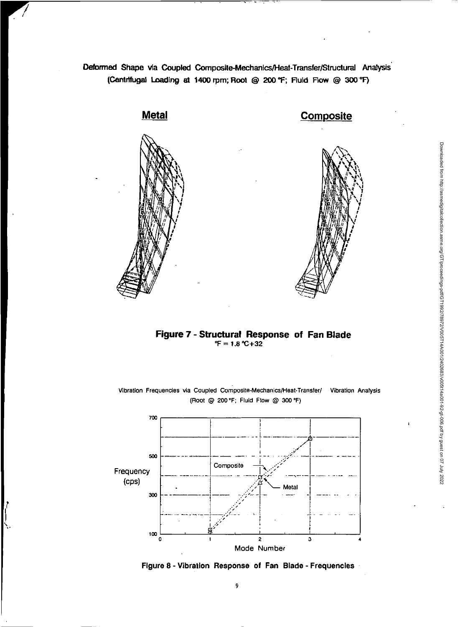**Deformed Shape via Coupled Composite-Mechanics/Heat-Transfer/Structural Analysis . (Centrifugal Loading al 1400 rpm; Root @ 200 °F; Fluid Flow ® 300 °F)** 





### **Figure 7- Structural Response of Fan Blade = 1.8 °C+32**



Vibration Frequencies via Coupled Composite-Mechanics/Heat-Transfer/ Vibration Analysis (Root @ 200 °F; Fluid Flow @ 300 °F)

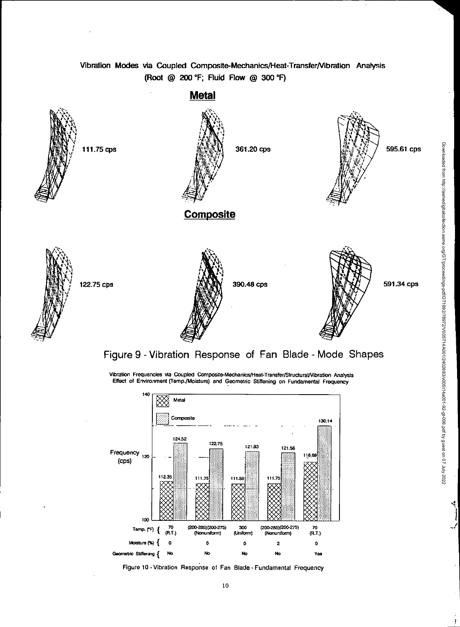## Vibration Modes via Coupled Composite-Mechanics/Heat-Transfer/Vibration Analysis (Root @ 200 °F; Fluid Flow @ 300 °F)



Vibration Frequencies via Coupled Composite-Mechanics/Heat-Transfer/Structural/Vibration Analysis Effect of Environment (Temp./Moisture) and Geometric Stiffening on Fundamental Frequency

Downloaded from http://asmedigitalcollection.asme.org/GTproceedings-pdf/971982/Y0051440001/2402683/v0361449001-92-41-006.pdf by guest on 07 July 2022 Downloaded from http://asmedigitalcollection.asme.org/GT/proceedings-pdf/GT1992/78972/V005T14A001/2402683/v005t14a001-92-gt-006.pdf by guest on 07 July 2022

ł



Figure 10 - Vibration Response of Fan Blade - Fundamental Frequency